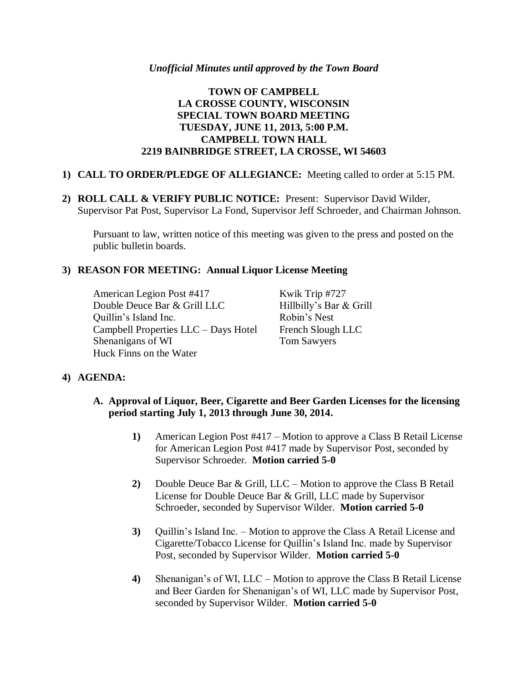# **TOWN OF CAMPBELL LA CROSSE COUNTY, WISCONSIN SPECIAL TOWN BOARD MEETING TUESDAY, JUNE 11, 2013, 5:00 P.M. CAMPBELL TOWN HALL 2219 BAINBRIDGE STREET, LA CROSSE, WI 54603**

### **1) CALL TO ORDER/PLEDGE OF ALLEGIANCE:** Meeting called to order at 5:15 PM.

**2) ROLL CALL & VERIFY PUBLIC NOTICE:** Present: Supervisor David Wilder, Supervisor Pat Post, Supervisor La Fond, Supervisor Jeff Schroeder, and Chairman Johnson.

Pursuant to law, written notice of this meeting was given to the press and posted on the public bulletin boards.

# **3) REASON FOR MEETING: Annual Liquor License Meeting**

American Legion Post #417 Kwik Trip #727 Double Deuce Bar & Grill LLC Hillbilly's Bar & Grill Quillin's Island Inc. Robin's Nest Campbell Properties LLC – Days Hotel French Slough LLC Shenanigans of WI Tom Sawyers Huck Finns on the Water

### **4) AGENDA:**

- **A. Approval of Liquor, Beer, Cigarette and Beer Garden Licenses for the licensing period starting July 1, 2013 through June 30, 2014.**
	- **1)** American Legion Post #417 Motion to approve a Class B Retail License for American Legion Post #417 made by Supervisor Post, seconded by Supervisor Schroeder. **Motion carried 5-0**
	- **2)** Double Deuce Bar & Grill, LLC Motion to approve the Class B Retail License for Double Deuce Bar & Grill, LLC made by Supervisor Schroeder, seconded by Supervisor Wilder. **Motion carried 5-0**
	- **3)** Quillin's Island Inc. Motion to approve the Class A Retail License and Cigarette/Tobacco License for Quillin's Island Inc. made by Supervisor Post, seconded by Supervisor Wilder. **Motion carried 5-0**
	- **4)** Shenanigan's of WI, LLC Motion to approve the Class B Retail License and Beer Garden for Shenanigan's of WI, LLC made by Supervisor Post, seconded by Supervisor Wilder. **Motion carried 5-0**